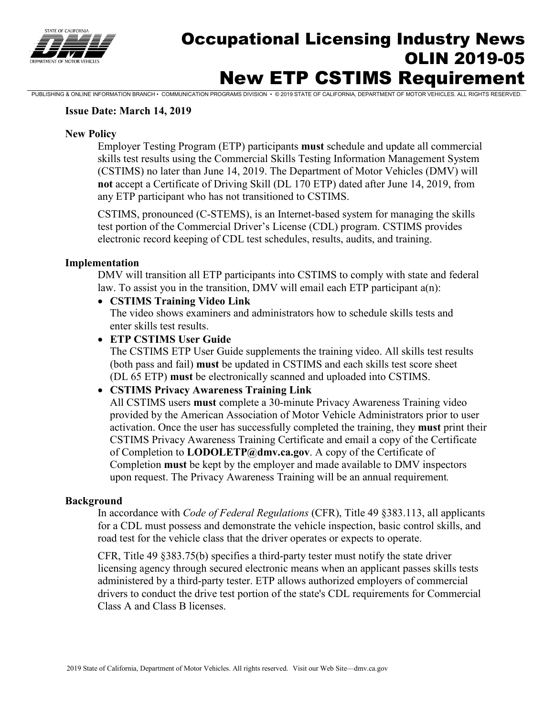

# Occupational Licensing Industry News OLIN 2019-05 New ETP CSTIMS Requirement

PUBLISHING & ONLINE INFORMATION BRANCH • COMMUNICATION PROGRAMS DIVISION • © 2019 STATE OF CALIFORNIA, DEPARTMENT OF MOTOR VEHICLES. ALL RIGHTS RESERVED.

#### **Issue Date: March 14, 2019**

#### **New Policy**

Employer Testing Program (ETP) participants **must** schedule and update all commercial skills test results using the Commercial Skills Testing Information Management System (CSTIMS) no later than June 14, 2019. The Department of Motor Vehicles (DMV) will **not** accept a Certificate of Driving Skill (DL 170 ETP) dated after June 14, 2019, from any ETP participant who has not transitioned to CSTIMS.

CSTIMS, pronounced (C-STEMS), is an Internet-based system for managing the skills test portion of the Commercial Driver's License (CDL) program. CSTIMS provides electronic record keeping of CDL test schedules, results, audits, and training.

#### **Implementation**

DMV will transition all ETP participants into CSTIMS to comply with state and federal law. To assist you in the transition, DMV will email each ETP participant a(n):

### • **CSTIMS Training Video Link**

The video shows examiners and administrators how to schedule skills tests and enter skills test results.

#### • **ETP CSTIMS User Guide**

The CSTIMS ETP User Guide supplements the training video. All skills test results (both pass and fail) **must** be updated in CSTIMS and each skills test score sheet (DL 65 ETP) **must** be electronically scanned and uploaded into CSTIMS.

#### • **CSTIMS Privacy Awareness Training Link**

All CSTIMS users **must** complete a 30-minute Privacy Awareness Training video provided by the American Association of Motor Vehicle Administrators prior to user activation. Once the user has successfully completed the training, they **must** print their CSTIMS Privacy Awareness Training Certificate and email a copy of the Certificate of Completion to **[LODOLETP@dmv.ca.gov](mailto:LODOLETP@dmv.ca.gov)**. A copy of the Certificate of Completion **must** be kept by the employer and made available to DMV inspectors upon request. The Privacy Awareness Training will be an annual requirement*.* 

#### **Background**

In accordance with *Code of Federal Regulations* (CFR), Title 49 §383.113, all applicants for a CDL must possess and demonstrate the vehicle inspection, basic control skills, and road test for the vehicle class that the driver operates or expects to operate.

CFR, Title 49 §383.75(b) specifies a third-party tester must notify the state driver licensing agency through secured electronic means when an applicant passes skills tests administered by a third-party tester. ETP allows authorized employers of commercial drivers to conduct the drive test portion of the state's CDL requirements for Commercial Class A and Class B licenses.